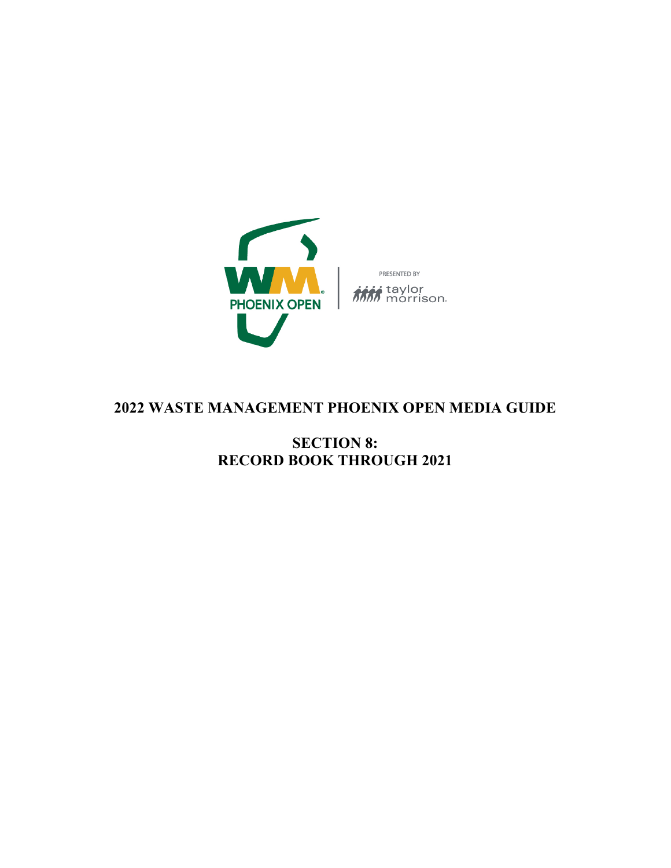

## **2022 WASTE MANAGEMENT PHOENIX OPEN MEDIA GUIDE**

**SECTION 8: RECORD BOOK THROUGH 2021**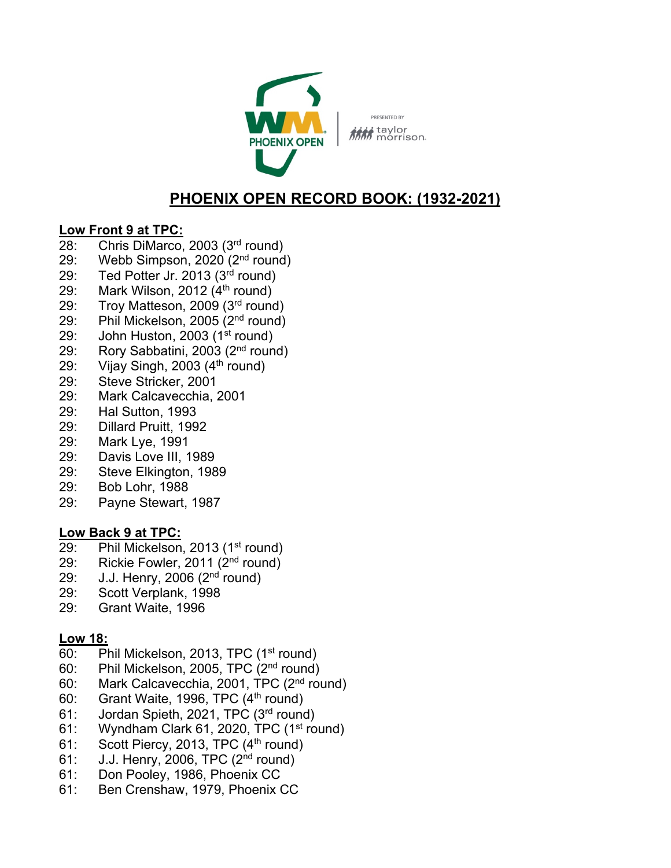

PRESENTED BY taylor<br>MM<sub>morrison</sub>

# **PHOENIX OPEN RECORD BOOK: (1932-2021)**

## **Low Front 9 at TPC:**

- 28: Chris DiMarco, 2003 (3rd round)
- 29: Webb Simpson, 2020 (2nd round)
- 29: Ted Potter Jr. 2013 (3rd round)
- 29: Mark Wilson, 2012  $(4<sup>th</sup>$  round)
- 29: Troy Matteson, 2009 (3<sup>rd</sup> round)
- 29: Phil Mickelson, 2005 (2nd round)
- 29: John Huston, 2003 (1<sup>st</sup> round)
- 29: Rory Sabbatini, 2003 (2nd round)
- 29: Vijay Singh, 2003  $(4<sup>th</sup>$  round)
- 29: Steve Stricker, 2001
- 29: Mark Calcavecchia, 2001
- 29: Hal Sutton, 1993
- 29: Dillard Pruitt, 1992
- 29: Mark Lye, 1991
- 29: Davis Love III, 1989
- 29: Steve Elkington, 1989
- 29: Bob Lohr, 1988
- 29: Payne Stewart, 1987

## **Low Back 9 at TPC:**

- 29: Phil Mickelson, 2013 (1<sup>st</sup> round)
- 29: Rickie Fowler, 2011 (2<sup>nd</sup> round)
- 29: J.J. Henry, 2006 (2nd round)
- 29: Scott Verplank, 1998
- 29: Grant Waite, 1996

## **Low 18:**

- 60: Phil Mickelson, 2013, TPC (1st round)
- 60: Phil Mickelson, 2005, TPC (2nd round)
- 60: Mark Calcavecchia, 2001, TPC (2nd round)
- 60: Grant Waite, 1996, TPC  $(4<sup>th</sup>$  round)
- 61: Jordan Spieth, 2021, TPC (3rd round)
- 61: Wyndham Clark 61, 2020, TPC (1<sup>st</sup> round)
- 61: Scott Piercy, 2013, TPC  $(4<sup>th</sup>$  round)
- 61: J.J. Henry, 2006, TPC (2nd round)
- 61: Don Pooley, 1986, Phoenix CC
- 61: Ben Crenshaw, 1979, Phoenix CC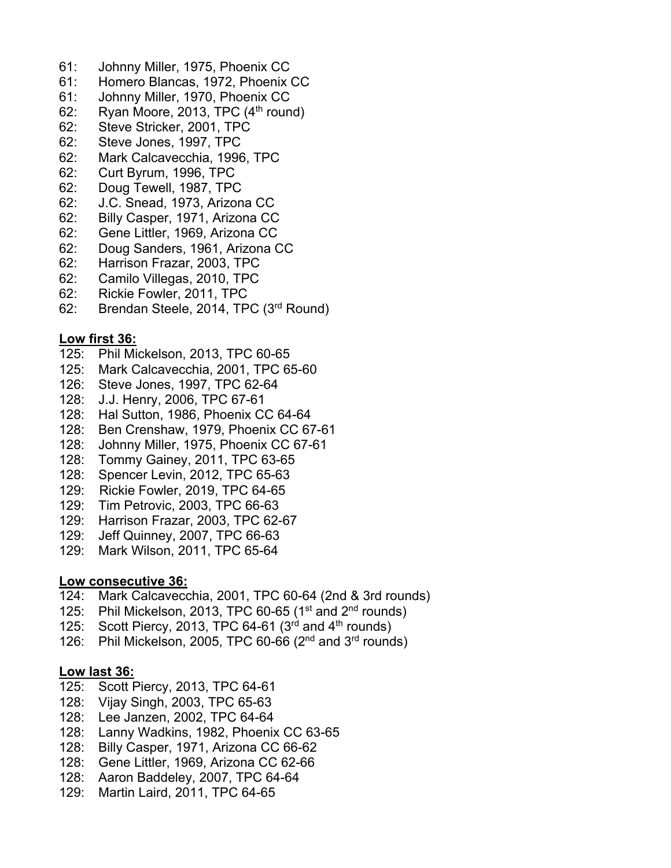- 61: Johnny Miller, 1975, Phoenix CC
- 61: Homero Blancas, 1972, Phoenix CC
- 61: Johnny Miller, 1970, Phoenix CC
- 62: Ryan Moore, 2013, TPC  $(4<sup>th</sup>$  round)
- 62: Steve Stricker, 2001, TPC
- 62: Steve Jones, 1997, TPC
- 62: Mark Calcavecchia, 1996, TPC
- 62: Curt Byrum, 1996, TPC
- 62: Doug Tewell, 1987, TPC
- 62: J.C. Snead, 1973, Arizona CC
- 62: Billy Casper, 1971, Arizona CC
- 62: Gene Littler, 1969, Arizona CC
- 62: Doug Sanders, 1961, Arizona CC
- 62: Harrison Frazar, 2003, TPC
- 62: Camilo Villegas, 2010, TPC
- 62: Rickie Fowler, 2011, TPC
- 62: Brendan Steele, 2014, TPC (3rd Round)

#### **Low first 36:**

- 125: Phil Mickelson, 2013, TPC 60-65
- 125: Mark Calcavecchia, 2001, TPC 65-60
- 126: Steve Jones, 1997, TPC 62-64
- 128: J.J. Henry, 2006, TPC 67-61
- 128: Hal Sutton, 1986, Phoenix CC 64-64
- 128: Ben Crenshaw, 1979, Phoenix CC 67-61
- 128: Johnny Miller, 1975, Phoenix CC 67-61
- 128: Tommy Gainey, 2011, TPC 63-65
- 128: Spencer Levin, 2012, TPC 65-63
- 129: Rickie Fowler, 2019, TPC 64-65
- 129: Tim Petrovic, 2003, TPC 66-63
- 129: Harrison Frazar, 2003, TPC 62-67
- 129: Jeff Quinney, 2007, TPC 66-63
- 129: Mark Wilson, 2011, TPC 65-64

#### **Low consecutive 36:**

- 124: Mark Calcavecchia, 2001, TPC 60-64 (2nd & 3rd rounds)
- 125: Phil Mickelson, 2013, TPC 60-65 ( $1<sup>st</sup>$  and  $2<sup>nd</sup>$  rounds)
- 125: Scott Piercy, 2013, TPC 64-61  $(3<sup>rd</sup>$  and 4<sup>th</sup> rounds)
- 126: Phil Mickelson, 2005, TPC 60-66  $(2^{nd}$  and  $3^{rd}$  rounds)

#### **Low last 36:**

- 125: Scott Piercy, 2013, TPC 64-61
- 128: Vijay Singh, 2003, TPC 65-63
- 128: Lee Janzen, 2002, TPC 64-64
- 128: Lanny Wadkins, 1982, Phoenix CC 63-65
- 128: Billy Casper, 1971, Arizona CC 66-62
- 128: Gene Littler, 1969, Arizona CC 62-66
- 128: Aaron Baddeley, 2007, TPC 64-64
- 129: Martin Laird, 2011, TPC 64-65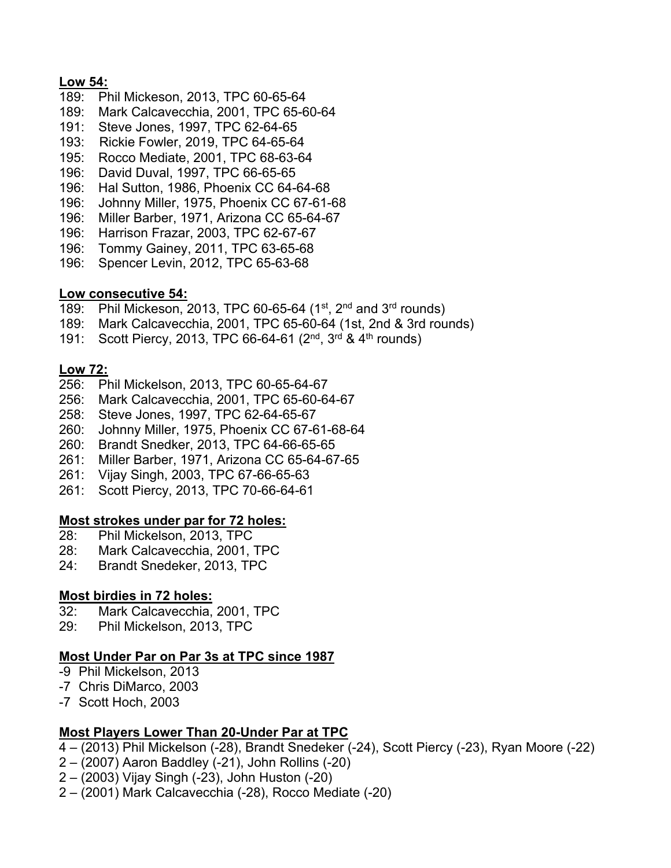### **Low 54:**

- 189: Phil Mickeson, 2013, TPC 60-65-64
- 189: Mark Calcavecchia, 2001, TPC 65-60-64
- 191: Steve Jones, 1997, TPC 62-64-65
- 193: Rickie Fowler, 2019, TPC 64-65-64
- 195: Rocco Mediate, 2001, TPC 68-63-64
- 196: David Duval, 1997, TPC 66-65-65
- 196: Hal Sutton, 1986, Phoenix CC 64-64-68
- 196: Johnny Miller, 1975, Phoenix CC 67-61-68
- 196: Miller Barber, 1971, Arizona CC 65-64-67
- 196: Harrison Frazar, 2003, TPC 62-67-67
- 196: Tommy Gainey, 2011, TPC 63-65-68
- 196: Spencer Levin, 2012, TPC 65-63-68

### **Low consecutive 54:**

- 189: Phil Mickeson, 2013, TPC 60-65-64 (1<sup>st</sup>, 2<sup>nd</sup> and 3<sup>rd</sup> rounds)
- 189: Mark Calcavecchia, 2001, TPC 65-60-64 (1st, 2nd & 3rd rounds)
- 191: Scott Piercy, 2013, TPC 66-64-61 (2<sup>nd</sup>, 3<sup>rd</sup> & 4<sup>th</sup> rounds)

## **Low 72:**

- 256: Phil Mickelson, 2013, TPC 60-65-64-67
- 256: Mark Calcavecchia, 2001, TPC 65-60-64-67
- 258: Steve Jones, 1997, TPC 62-64-65-67
- 260: Johnny Miller, 1975, Phoenix CC 67-61-68-64
- 260: Brandt Snedker, 2013, TPC 64-66-65-65
- 261: Miller Barber, 1971, Arizona CC 65-64-67-65
- 261: Vijay Singh, 2003, TPC 67-66-65-63
- 261: Scott Piercy, 2013, TPC 70-66-64-61

## **Most strokes under par for 72 holes:**

- 28: Phil Mickelson, 2013, TPC
- 28: Mark Calcavecchia, 2001, TPC
- 24: Brandt Snedeker, 2013, TPC

## **Most birdies in 72 holes:**

- 32: Mark Calcavecchia, 2001, TPC
- 29: Phil Mickelson, 2013, TPC

## **Most Under Par on Par 3s at TPC since 1987**

- -9 Phil Mickelson, 2013
- -7 Chris DiMarco, 2003
- -7 Scott Hoch, 2003

## **Most Players Lower Than 20-Under Par at TPC**

- 4 (2013) Phil Mickelson (-28), Brandt Snedeker (-24), Scott Piercy (-23), Ryan Moore (-22)
- 2 (2007) Aaron Baddley (-21), John Rollins (-20)
- 2 (2003) Vijay Singh (-23), John Huston (-20)
- 2 (2001) Mark Calcavecchia (-28), Rocco Mediate (-20)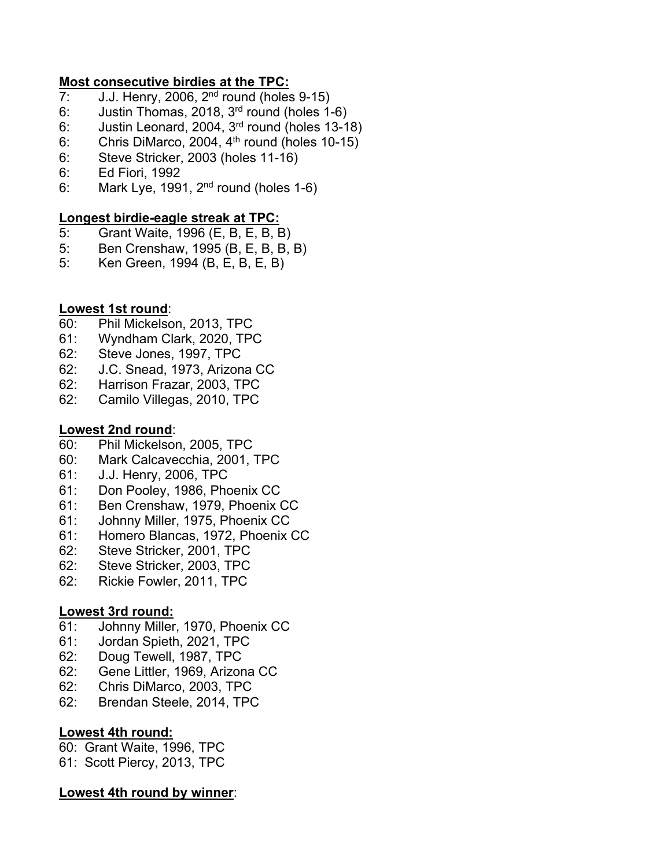### **Most consecutive birdies at the TPC:**

- 7: J.J. Henry, 2006, 2<sup>nd</sup> round (holes 9-15)
- 6: Justin Thomas, 2018, 3rd round (holes 1-6)
- 6: Justin Leonard, 2004, 3rd round (holes 13-18)
- 6: Chris DiMarco, 2004,  $4<sup>th</sup>$  round (holes 10-15)
- 6: Steve Stricker, 2003 (holes 11-16)
- 6: Ed Fiori, 1992
- 6: Mark Lye, 1991,  $2<sup>nd</sup>$  round (holes 1-6)

## **Longest birdie-eagle streak at TPC:**

- 5: Grant Waite, 1996 (E, B, E, B, B)
- 5: Ben Crenshaw, 1995 (B, E, B, B, B)
- 5: Ken Green, 1994 (B, E, B, E, B)

## **Lowest 1st round**:

- 60: Phil Mickelson, 2013, TPC
- 61: Wyndham Clark, 2020, TPC
- 62: Steve Jones, 1997, TPC
- 62: J.C. Snead, 1973, Arizona CC
- 62: Harrison Frazar, 2003, TPC
- 62: Camilo Villegas, 2010, TPC

## **Lowest 2nd round**:

- 60: Phil Mickelson, 2005, TPC
- 60: Mark Calcavecchia, 2001, TPC
- 61: J.J. Henry, 2006, TPC
- 61: Don Pooley, 1986, Phoenix CC
- 61: Ben Crenshaw, 1979, Phoenix CC
- 61: Johnny Miller, 1975, Phoenix CC
- 61: Homero Blancas, 1972, Phoenix CC
- 62: Steve Stricker, 2001, TPC
- 62: Steve Stricker, 2003, TPC
- 62: Rickie Fowler, 2011, TPC

## **Lowest 3rd round:**

- 61: Johnny Miller, 1970, Phoenix CC
- 61: Jordan Spieth, 2021, TPC
- 62: Doug Tewell, 1987, TPC
- 62: Gene Littler, 1969, Arizona CC
- 62: Chris DiMarco, 2003, TPC
- 62: Brendan Steele, 2014, TPC

## **Lowest 4th round:**

60: Grant Waite, 1996, TPC

61: Scott Piercy, 2013, TPC

## **Lowest 4th round by winner**: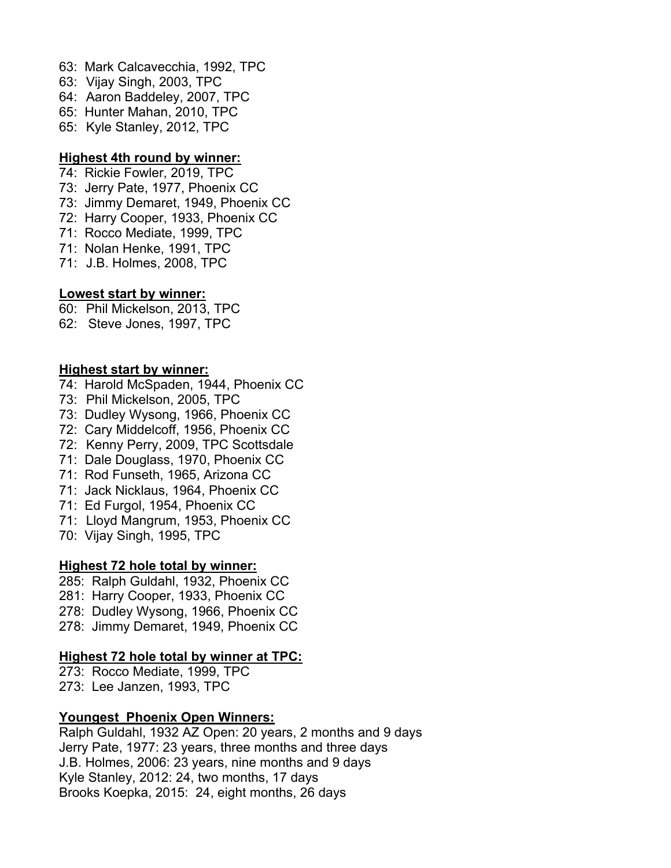- 63: Mark Calcavecchia, 1992, TPC
- 63: Vijay Singh, 2003, TPC
- 64: Aaron Baddeley, 2007, TPC
- 65: Hunter Mahan, 2010, TPC
- 65: Kyle Stanley, 2012, TPC

#### **Highest 4th round by winner:**

- 74: Rickie Fowler, 2019, TPC
- 73: Jerry Pate, 1977, Phoenix CC
- 73: Jimmy Demaret, 1949, Phoenix CC
- 72: Harry Cooper, 1933, Phoenix CC
- 71: Rocco Mediate, 1999, TPC
- 71: Nolan Henke, 1991, TPC
- 71: J.B. Holmes, 2008, TPC

#### **Lowest start by winner:**

- 60: Phil Mickelson, 2013, TPC
- 62: Steve Jones, 1997, TPC

#### **Highest start by winner:**

- 74: Harold McSpaden, 1944, Phoenix CC
- 73: Phil Mickelson, 2005, TPC
- 73: Dudley Wysong, 1966, Phoenix CC
- 72: Cary Middelcoff, 1956, Phoenix CC
- 72: Kenny Perry, 2009, TPC Scottsdale
- 71: Dale Douglass, 1970, Phoenix CC
- 71: Rod Funseth, 1965, Arizona CC
- 71: Jack Nicklaus, 1964, Phoenix CC
- 71: Ed Furgol, 1954, Phoenix CC
- 71: Lloyd Mangrum, 1953, Phoenix CC
- 70: Vijay Singh, 1995, TPC

#### **Highest 72 hole total by winner:**

- 285: Ralph Guldahl, 1932, Phoenix CC
- 281: Harry Cooper, 1933, Phoenix CC
- 278: Dudley Wysong, 1966, Phoenix CC
- 278: Jimmy Demaret, 1949, Phoenix CC

#### **Highest 72 hole total by winner at TPC:**

- 273: Rocco Mediate, 1999, TPC
- 273: Lee Janzen, 1993, TPC

#### **Youngest Phoenix Open Winners:**

Ralph Guldahl, 1932 AZ Open: 20 years, 2 months and 9 days Jerry Pate, 1977: 23 years, three months and three days J.B. Holmes, 2006: 23 years, nine months and 9 days Kyle Stanley, 2012: 24, two months, 17 days Brooks Koepka, 2015: 24, eight months, 26 days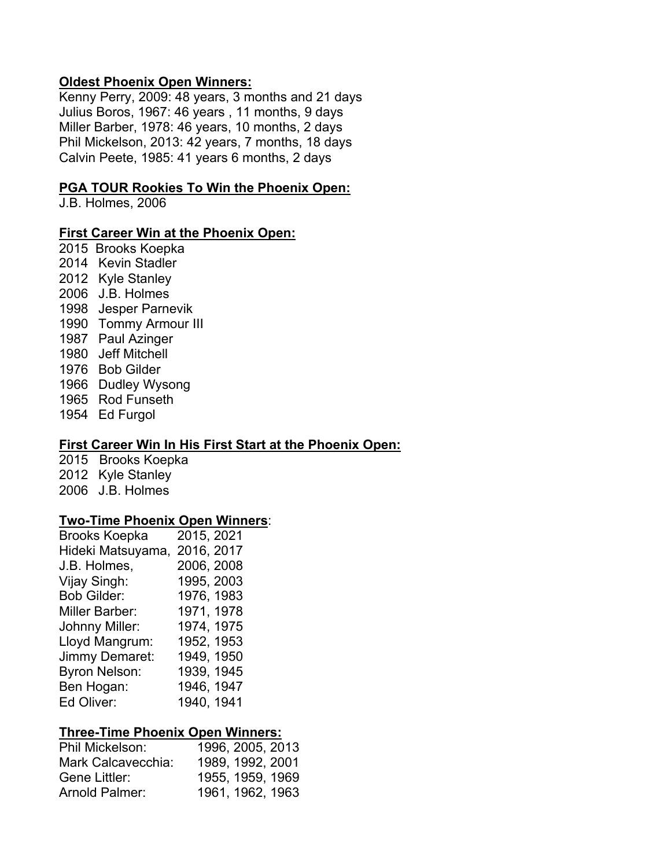#### **Oldest Phoenix Open Winners:**

Kenny Perry, 2009: 48 years, 3 months and 21 days Julius Boros, 1967: 46 years , 11 months, 9 days Miller Barber, 1978: 46 years, 10 months, 2 days Phil Mickelson, 2013: 42 years, 7 months, 18 days Calvin Peete, 1985: 41 years 6 months, 2 days

#### **PGA TOUR Rookies To Win the Phoenix Open:**

J.B. Holmes, 2006

#### **First Career Win at the Phoenix Open:**

- 2015 Brooks Koepka 2014 Kevin Stadler 2012 Kyle Stanley 2006 J.B. Holmes 1998 Jesper Parnevik 1990 Tommy Armour III 1987 Paul Azinger 1980 Jeff Mitchell 1976 Bob Gilder 1966 Dudley Wysong 1965 Rod Funseth
- 1954 Ed Furgol

#### **First Career Win In His First Start at the Phoenix Open:**

2015 Brooks Koepka 2012 Kyle Stanley 2006 J.B. Holmes

#### **Two-Time Phoenix Open Winners**:

| <b>Brooks Koepka</b>  | 2015, 2021 |
|-----------------------|------------|
| Hideki Matsuyama,     | 2016, 2017 |
| J.B. Holmes,          | 2006, 2008 |
| Vijay Singh:          | 1995, 2003 |
| <b>Bob Gilder:</b>    | 1976, 1983 |
| <b>Miller Barber:</b> | 1971, 1978 |
| Johnny Miller:        | 1974, 1975 |
| Lloyd Mangrum:        | 1952, 1953 |
| Jimmy Demaret:        | 1949, 1950 |
| <b>Byron Nelson:</b>  | 1939, 1945 |
| Ben Hogan:            | 1946, 1947 |
| Ed Oliver:            | 1940, 1941 |

#### **Three-Time Phoenix Open Winners:**

| 1996, 2005, 2013 |
|------------------|
| 1989, 1992, 2001 |
| 1955, 1959, 1969 |
| 1961, 1962, 1963 |
|                  |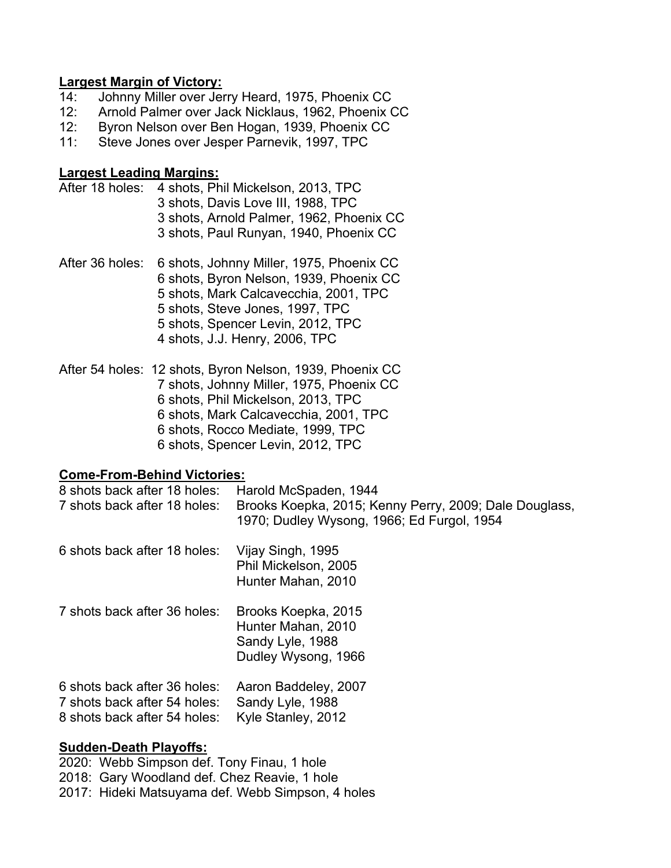#### **Largest Margin of Victory:**

- 14: Johnny Miller over Jerry Heard, 1975, Phoenix CC
- 12: Arnold Palmer over Jack Nicklaus, 1962, Phoenix CC
- 12: Byron Nelson over Ben Hogan, 1939, Phoenix CC
- 11: Steve Jones over Jesper Parnevik, 1997, TPC

#### **Largest Leading Margins:**

- After 18 holes: 4 shots, Phil Mickelson, 2013, TPC 3 shots, Davis Love III, 1988, TPC 3 shots, Arnold Palmer, 1962, Phoenix CC 3 shots, Paul Runyan, 1940, Phoenix CC
- After 36 holes: 6 shots, Johnny Miller, 1975, Phoenix CC 6 shots, Byron Nelson, 1939, Phoenix CC 5 shots, Mark Calcavecchia, 2001, TPC 5 shots, Steve Jones, 1997, TPC 5 shots, Spencer Levin, 2012, TPC 4 shots, J.J. Henry, 2006, TPC
- After 54 holes: 12 shots, Byron Nelson, 1939, Phoenix CC 7 shots, Johnny Miller, 1975, Phoenix CC 6 shots, Phil Mickelson, 2013, TPC 6 shots, Mark Calcavecchia, 2001, TPC 6 shots, Rocco Mediate, 1999, TPC 6 shots, Spencer Levin, 2012, TPC

#### **Come-From-Behind Victories:**

| 8 shots back after 18 holes:<br>7 shots back after 18 holes:                                 | Harold McSpaden, 1944<br>Brooks Koepka, 2015; Kenny Perry, 2009; Dale Douglass,<br>1970; Dudley Wysong, 1966; Ed Furgol, 1954 |
|----------------------------------------------------------------------------------------------|-------------------------------------------------------------------------------------------------------------------------------|
| 6 shots back after 18 holes:                                                                 | Vijay Singh, 1995<br>Phil Mickelson, 2005<br>Hunter Mahan, 2010                                                               |
| 7 shots back after 36 holes:                                                                 | Brooks Koepka, 2015<br>Hunter Mahan, 2010<br>Sandy Lyle, 1988<br>Dudley Wysong, 1966                                          |
| 6 shots back after 36 holes:<br>7 shots back after 54 holes:<br>8 shots back after 54 holes: | Aaron Baddeley, 2007<br>Sandy Lyle, 1988<br>Kyle Stanley, 2012                                                                |

#### **Sudden-Death Playoffs:**

2020: Webb Simpson def. Tony Finau, 1 hole 2018: Gary Woodland def. Chez Reavie, 1 hole 2017: Hideki Matsuyama def. Webb Simpson, 4 holes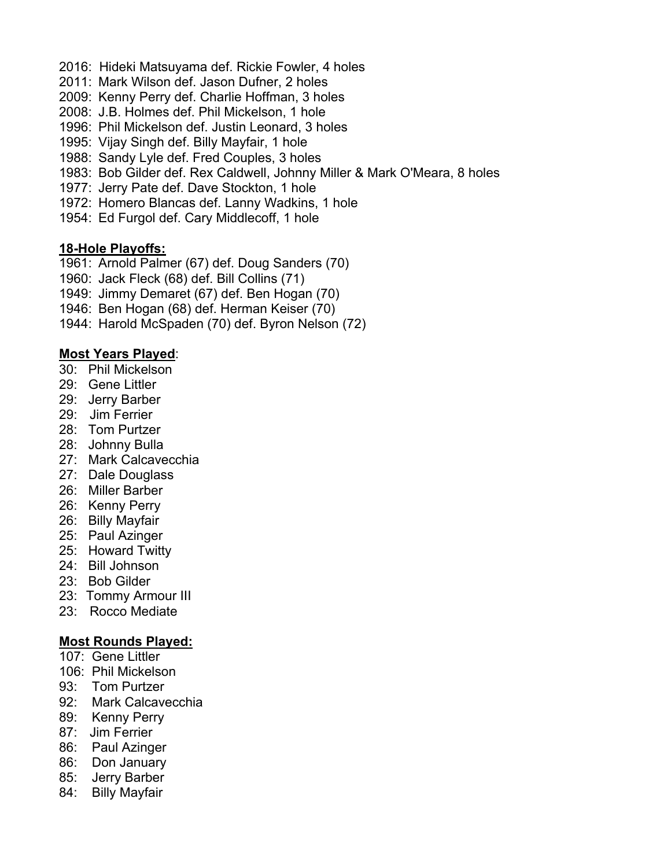- 2016: Hideki Matsuyama def. Rickie Fowler, 4 holes
- 2011: Mark Wilson def. Jason Dufner, 2 holes
- 2009: Kenny Perry def. Charlie Hoffman, 3 holes
- 2008: J.B. Holmes def. Phil Mickelson, 1 hole
- 1996: Phil Mickelson def. Justin Leonard, 3 holes
- 1995: Vijay Singh def. Billy Mayfair, 1 hole
- 1988: Sandy Lyle def. Fred Couples, 3 holes
- 1983: Bob Gilder def. Rex Caldwell, Johnny Miller & Mark O'Meara, 8 holes
- 1977: Jerry Pate def. Dave Stockton, 1 hole
- 1972: Homero Blancas def. Lanny Wadkins, 1 hole
- 1954: Ed Furgol def. Cary Middlecoff, 1 hole

#### **18-Hole Playoffs:**

- 1961: Arnold Palmer (67) def. Doug Sanders (70)
- 1960: Jack Fleck (68) def. Bill Collins (71)
- 1949: Jimmy Demaret (67) def. Ben Hogan (70)
- 1946: Ben Hogan (68) def. Herman Keiser (70)
- 1944: Harold McSpaden (70) def. Byron Nelson (72)

### **Most Years Played**:

- 30: Phil Mickelson
- 29: Gene Littler
- 29: Jerry Barber
- 29: Jim Ferrier
- 28: Tom Purtzer
- 28: Johnny Bulla
- 27: Mark Calcavecchia
- 27: Dale Douglass
- 26: Miller Barber
- 26: Kenny Perry
- 26: Billy Mayfair
- 25: Paul Azinger
- 25: Howard Twitty
- 24: Bill Johnson
- 23: Bob Gilder
- 23: Tommy Armour III
- 23: Rocco Mediate

#### **Most Rounds Played:**

- 107: Gene Littler
- 106: Phil Mickelson
- 93: Tom Purtzer
- 92: Mark Calcavecchia
- 89: Kenny Perry
- 87: Jim Ferrier
- 86: Paul Azinger
- 86: Don January
- 85: Jerry Barber
- 84: Billy Mayfair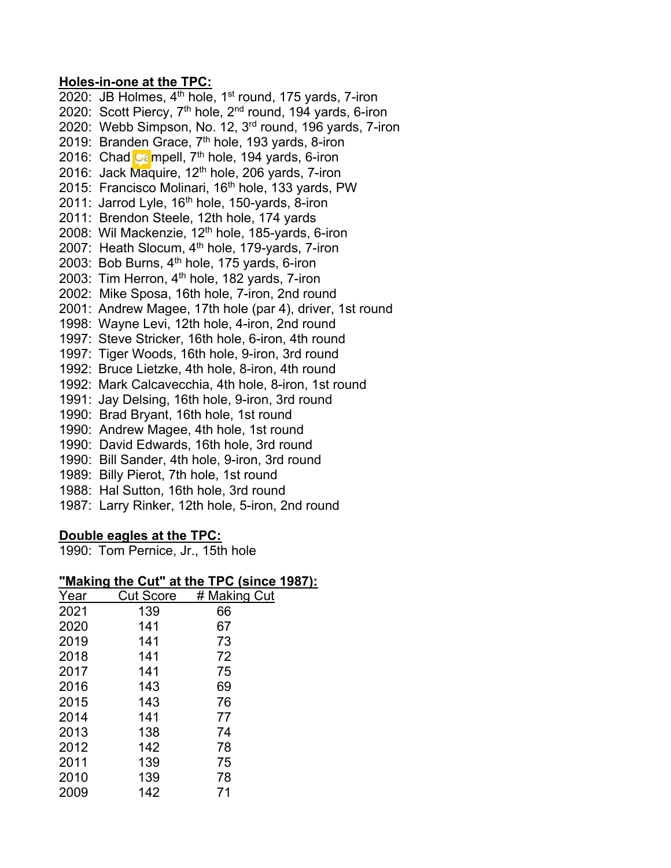#### **Holes-in-one at the TPC:**

2020: JB Holmes,  $4<sup>th</sup>$  hole,  $1<sup>st</sup>$  round, 175 yards, 7-iron 2020: Scott Piercy, 7<sup>th</sup> hole, 2<sup>nd</sup> round, 194 yards, 6-iron 2020: Webb Simpson, No. 12, 3<sup>rd</sup> round, 196 yards, 7-iron 2019: Branden Grace, 7<sup>th</sup> hole, 193 yards, 8-iron 2016: Chad  $\mathbb{G}$  mpell,  $7^{\text{th}}$  hole, 194 yards, 6-iron 2016: Jack Maquire, 12<sup>th</sup> hole, 206 yards, 7-iron 2015: Francisco Molinari, 16<sup>th</sup> hole, 133 yards, PW 2011: Jarrod Lyle, 16<sup>th</sup> hole, 150-yards, 8-iron 2011: Brendon Steele, 12th hole, 174 yards 2008: Wil Mackenzie, 12<sup>th</sup> hole, 185-yards, 6-iron 2007: Heath Slocum, 4<sup>th</sup> hole, 179-yards, 7-iron 2003: Bob Burns, 4<sup>th</sup> hole, 175 yards, 6-iron 2003: Tim Herron, 4<sup>th</sup> hole, 182 yards, 7-iron 2002: Mike Sposa, 16th hole, 7-iron, 2nd round 2001: Andrew Magee, 17th hole (par 4), driver, 1st round 1998: Wayne Levi, 12th hole, 4-iron, 2nd round 1997: Steve Stricker, 16th hole, 6-iron, 4th round 1997: Tiger Woods, 16th hole, 9-iron, 3rd round 1992: Bruce Lietzke, 4th hole, 8-iron, 4th round 1992: Mark Calcavecchia, 4th hole, 8-iron, 1st round 1991: Jay Delsing, 16th hole, 9-iron, 3rd round 1990: Brad Bryant, 16th hole, 1st round 1990: Andrew Magee, 4th hole, 1st round 1990: David Edwards, 16th hole, 3rd round 1990: Bill Sander, 4th hole, 9-iron, 3rd round 1989: Billy Pierot, 7th hole, 1st round 1988: Hal Sutton, 16th hole, 3rd round 1987: Larry Rinker, 12th hole, 5-iron, 2nd round

#### **Double eagles at the TPC:**

1990: Tom Pernice, Jr., 15th hole

## **"Making the Cut" at the TPC (since 1987):**

| Year | <b>Cut Score</b> | # Making Cut |
|------|------------------|--------------|
| 2021 | 139              | 66           |
| 2020 | 141              | 67           |
| 2019 | 141              | 73           |
| 2018 | 141              | 72           |
| 2017 | 141              | 75           |
| 2016 | 143              | 69           |
| 2015 | 143              | 76           |
| 2014 | 141              | 77           |
| 2013 | 138              | 74           |
| 2012 | 142              | 78           |
| 2011 | 139              | 75           |
| 2010 | 139              | 78           |
| 2009 | 142              | 71           |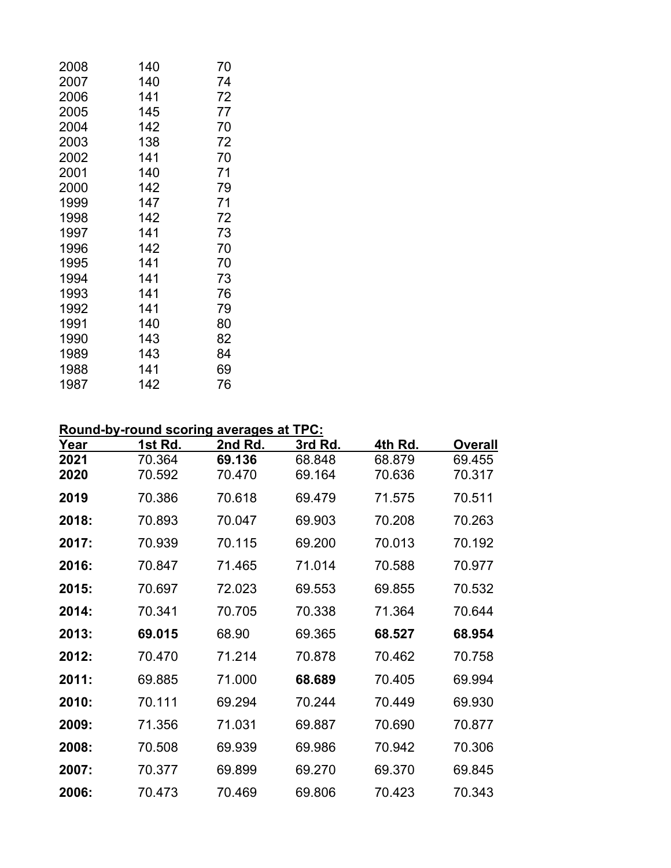| 140 | 70 |  |
|-----|----|--|
| 140 | 74 |  |
| 141 | 72 |  |
| 145 | 77 |  |
| 142 | 70 |  |
| 138 | 72 |  |
| 141 | 70 |  |
| 140 | 71 |  |
| 142 | 79 |  |
| 147 | 71 |  |
| 142 | 72 |  |
| 141 | 73 |  |
| 142 | 70 |  |
| 141 | 70 |  |
| 141 | 73 |  |
| 141 | 76 |  |
| 141 | 79 |  |
| 140 | 80 |  |
| 143 | 82 |  |
| 143 | 84 |  |
| 141 | 69 |  |
| 142 | 76 |  |
|     |    |  |

## **Round-by-round scoring averages at TPC:**

| Year         | 1st Rd.          | 2nd Rd.          | 3rd Rd.          | 4th Rd.          | <b>Overall</b>   |
|--------------|------------------|------------------|------------------|------------------|------------------|
| 2021<br>2020 | 70.364<br>70.592 | 69.136<br>70.470 | 68.848<br>69.164 | 68.879<br>70.636 | 69.455<br>70.317 |
| 2019         | 70.386           | 70.618           | 69.479           | 71.575           | 70.511           |
| 2018:        | 70.893           | 70.047           | 69.903           | 70.208           | 70.263           |
| 2017:        | 70.939           | 70.115           | 69.200           | 70.013           | 70.192           |
| 2016:        | 70.847           | 71.465           | 71.014           | 70.588           | 70.977           |
| 2015:        | 70.697           | 72.023           | 69.553           | 69.855           | 70.532           |
| 2014:        | 70.341           | 70.705           | 70.338           | 71.364           | 70.644           |
| 2013:        | 69.015           | 68.90            | 69.365           | 68.527           | 68.954           |
| 2012:        | 70.470           | 71.214           | 70.878           | 70.462           | 70.758           |
| 2011:        | 69.885           | 71.000           | 68.689           | 70.405           | 69.994           |
| 2010:        | 70.111           | 69.294           | 70.244           | 70.449           | 69.930           |
| 2009:        | 71.356           | 71.031           | 69.887           | 70.690           | 70.877           |
| 2008:        | 70.508           | 69.939           | 69.986           | 70.942           | 70.306           |
| 2007:        | 70.377           | 69.899           | 69.270           | 69.370           | 69.845           |
| 2006:        | 70.473           | 70.469           | 69.806           | 70.423           | 70.343           |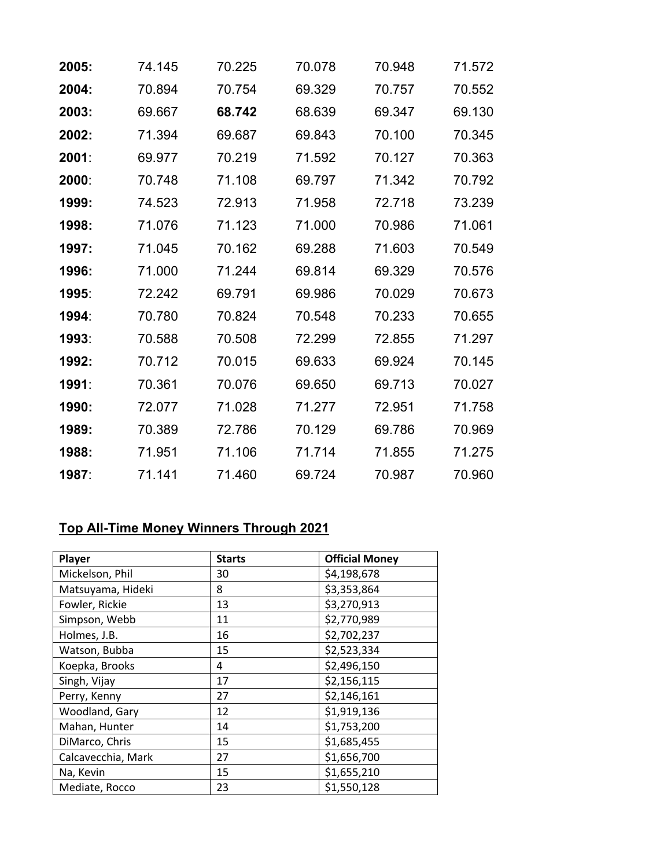| 2005: | 74.145 | 70.225 | 70.078 | 70.948 | 71.572 |
|-------|--------|--------|--------|--------|--------|
| 2004: | 70.894 | 70.754 | 69.329 | 70.757 | 70.552 |
| 2003: | 69.667 | 68.742 | 68.639 | 69.347 | 69.130 |
| 2002: | 71.394 | 69.687 | 69.843 | 70.100 | 70.345 |
| 2001: | 69.977 | 70.219 | 71.592 | 70.127 | 70.363 |
| 2000: | 70.748 | 71.108 | 69.797 | 71.342 | 70.792 |
| 1999: | 74.523 | 72.913 | 71.958 | 72.718 | 73.239 |
| 1998: | 71.076 | 71.123 | 71.000 | 70.986 | 71.061 |
| 1997: | 71.045 | 70.162 | 69.288 | 71.603 | 70.549 |
| 1996: | 71.000 | 71.244 | 69.814 | 69.329 | 70.576 |
| 1995: | 72.242 | 69.791 | 69.986 | 70.029 | 70.673 |
| 1994: | 70.780 | 70.824 | 70.548 | 70.233 | 70.655 |
| 1993: | 70.588 | 70.508 | 72.299 | 72.855 | 71.297 |
| 1992: | 70.712 | 70.015 | 69.633 | 69.924 | 70.145 |
| 1991: | 70.361 | 70.076 | 69.650 | 69.713 | 70.027 |
| 1990: | 72.077 | 71.028 | 71.277 | 72.951 | 71.758 |
| 1989: | 70.389 | 72.786 | 70.129 | 69.786 | 70.969 |
| 1988: | 71.951 | 71.106 | 71.714 | 71.855 | 71.275 |
| 1987: | 71.141 | 71.460 | 69.724 | 70.987 | 70.960 |

# **Top All-Time Money Winners Through 2021**

| Player             | <b>Starts</b> | <b>Official Money</b> |
|--------------------|---------------|-----------------------|
| Mickelson, Phil    | 30            | \$4,198,678           |
| Matsuyama, Hideki  | 8             | \$3,353,864           |
| Fowler, Rickie     | 13            | \$3,270,913           |
| Simpson, Webb      | 11            | \$2,770,989           |
| Holmes, J.B.       | 16            | \$2,702,237           |
| Watson, Bubba      | 15            | \$2,523,334           |
| Koepka, Brooks     | 4             | \$2,496,150           |
| Singh, Vijay       | 17            | \$2,156,115           |
| Perry, Kenny       | 27            | \$2,146,161           |
| Woodland, Gary     | 12            | \$1,919,136           |
| Mahan, Hunter      | 14            | \$1,753,200           |
| DiMarco, Chris     | 15            | \$1,685,455           |
| Calcavecchia, Mark | 27            | \$1,656,700           |
| Na, Kevin          | 15            | \$1,655,210           |
| Mediate, Rocco     | 23            | \$1,550,128           |